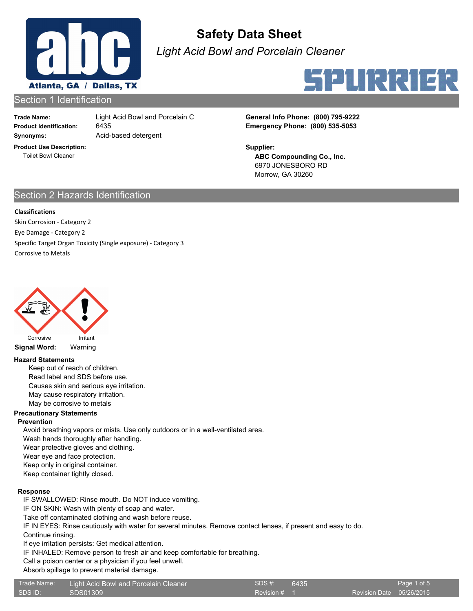

*Light Acid Bowl and Porcelain Cleaner*



#### Section 1 Identification

**Trade Name: Synonyms:** Acid-based detergent

6435

**Product Use Description:** Toilet Bowl Cleaner

**Product Identification: Emergency Phone: (800) 535-5053** Light Acid Bowl and Porcelain Cleaner **General Info Phone: (800) 795-9222** 

> **ABC Compounding Co., Inc.** 6970 JONESBORO RD Morrow, GA 30260 **Supplier:**

## Section 2 Hazards Identification

#### **Classifications**

Skin Corrosion - Category 2 Eye Damage - Category 2 Specific Target Organ Toxicity (Single exposure) - Category 3 Corrosive to Metals



**Signal Word:** Warning

#### **Hazard Statements**

Keep out of reach of children. Read label and SDS before use. Causes skin and serious eye irritation. May cause respiratory irritation. May be corrosive to metals

#### **Precautionary Statements**

#### **Prevention**

Avoid breathing vapors or mists. Use only outdoors or in a well-ventilated area.

Wash hands thoroughly after handling.

Wear protective gloves and clothing.

Wear eye and face protection.

Keep only in original container.

Keep container tightly closed.

#### **Response**

IF SWALLOWED: Rinse mouth. Do NOT induce vomiting.

IF ON SKIN: Wash with plenty of soap and water.

Take off contaminated clothing and wash before reuse.

IF IN EYES: Rinse cautiously with water for several minutes. Remove contact lenses, if present and easy to do. Continue rinsing.

If eye irritation persists: Get medical attention.

IF INHALED: Remove person to fresh air and keep comfortable for breathing.

Call a poison center or a physician if you feel unwell.

#### Absorb spillage to prevent material damage.

| Trade Name: | Light Acid Bowl and Porcelain Cleaner | SDS#    |
|-------------|---------------------------------------|---------|
| SDS ID:     | SDS01309                              | Revisio |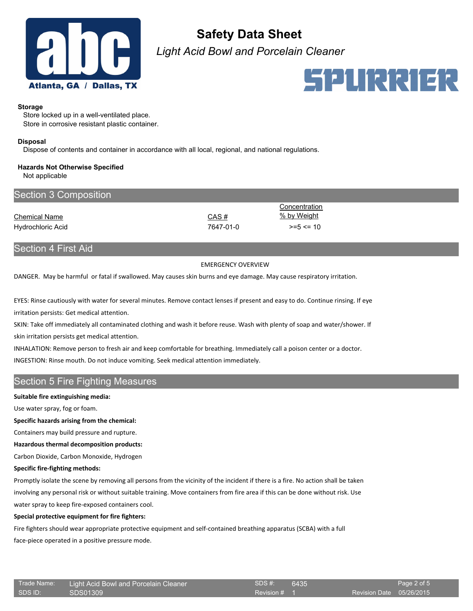

*Light Acid Bowl and Porcelain Cleaner*



#### **Storage**

Store locked up in a well-ventilated place. Store in corrosive resistant plastic container.

#### **Disposal**

Dispose of contents and container in accordance with all local, regional, and national regulations.

## **Hazards Not Otherwise Specified**

Not applicable

| Section 3 Composition |           |               |  |
|-----------------------|-----------|---------------|--|
|                       |           | Concentration |  |
| <b>Chemical Name</b>  | CAS#      | % by Weight   |  |
| Hydrochloric Acid     | 7647-01-0 | $>= 5 < 10$   |  |
|                       |           |               |  |

## Section 4 First Aid

#### EMERGENCY OVERVIEW

DANGER. May be harmful or fatal if swallowed. May causes skin burns and eye damage. May cause respiratory irritation.

EYES: Rinse cautiously with water for several minutes. Remove contact lenses if present and easy to do. Continue rinsing. If eye irritation persists: Get medical attention.

SKIN: Take off immediately all contaminated clothing and wash it before reuse. Wash with plenty of soap and water/shower. If skin irritation persists get medical attention.

INHALATION: Remove person to fresh air and keep comfortable for breathing. Immediately call a poison center or a doctor. INGESTION: Rinse mouth. Do not induce vomiting. Seek medical attention immediately.

## Section 5 Fire Fighting Measures

#### **Suitable fire extinguishing media:**

Use water spray, fog or foam.

**Specific hazards arising from the chemical:**

Containers may build pressure and rupture.

**Hazardous thermal decomposition products:**

Carbon Dioxide, Carbon Monoxide, Hydrogen

#### **Specific fire-fighting methods:**

Promptly isolate the scene by removing all persons from the vicinity of the incident if there is a fire. No action shall be taken involving any personal risk or without suitable training. Move containers from fire area if this can be done without risk. Use water spray to keep fire-exposed containers cool.

#### **Special protective equipment for fire fighters:**

Fire fighters should wear appropriate protective equipment and self-contained breathing apparatus (SCBA) with a full face-piece operated in a positive pressure mode.

|         | Trade Name: |
|---------|-------------|
| יחו אחף |             |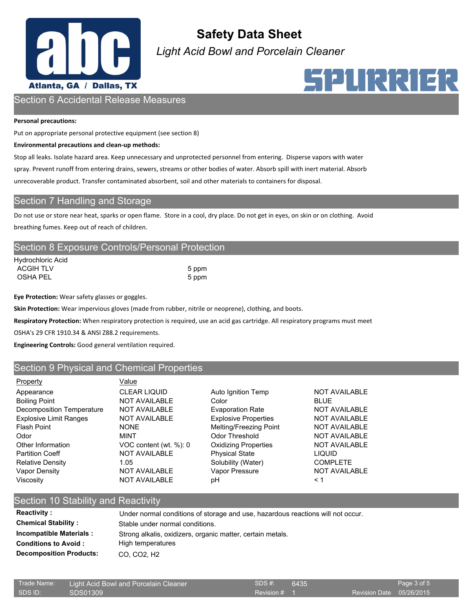

*Light Acid Bowl and Porcelain Cleaner*

# SPURRIER

## Section 6 Accidental Release Measures

#### **Personal precautions:**

Put on appropriate personal protective equipment (see section 8)

#### **Environmental precautions and clean-up methods:**

Stop all leaks. Isolate hazard area. Keep unnecessary and unprotected personnel from entering. Disperse vapors with water spray. Prevent runoff from entering drains, sewers, streams or other bodies of water. Absorb spill with inert material. Absorb unrecoverable product. Transfer contaminated absorbent, soil and other materials to containers for disposal.

## Section 7 Handling and Storage

Do not use or store near heat, sparks or open flame. Store in a cool, dry place. Do not get in eyes, on skin or on clothing. Avoid breathing fumes. Keep out of reach of children.

## Section 8 Exposure Controls/Personal Protection

| Hydrochloric Acid |       |
|-------------------|-------|
| <b>ACGIH TLV</b>  | 5 ppm |
| OSHA PEL          | 5 ppm |

**Eye Protection:** Wear safety glasses or goggles.

**Skin Protection:** Wear impervious gloves (made from rubber, nitrile or neoprene), clothing, and boots.

**Respiratory Protection:** When respiratory protection is required, use an acid gas cartridge. All respiratory programs must meet

OSHA's 29 CFR 1910.34 & ANSI Z88.2 requirements.

**Engineering Controls:** Good general ventilation required.

### Section 9 Physical and Chemical Properties

Value

CLEAR LIQUID Auto Ignition Temp NOT AVAILABLE NOT AVAILABLE Color Color BLUE NOT AVAILABLE Evaporation Rate NOT AVAILABLE NOT AVAILABLE Explosive Properties NOT AVAILABLE NONE Melting/Freezing Point NOT AVAILABLE MINT Codor Threshold NOT AVAILABLE VOC content (wt. %): 0 Oxidizing Properties NOT AVAILABLE NOT AVAILABLE Physical State LIQUID NOT AVAILABLE Vapor Pressure NOT AVAILABLE NOT AVAILABLE pH  $< 1$ 

1.05 Solubility (Water) COMPLETE

## Section 10 Stability and Reactivity

| <b>Reactivity:</b>             | Under normal conditions of storage and use, hazardous reactions will not occur. |
|--------------------------------|---------------------------------------------------------------------------------|
| <b>Chemical Stability:</b>     | Stable under normal conditions.                                                 |
| <b>Incompatible Materials:</b> | Strong alkalis, oxidizers, organic matter, certain metals.                      |
| <b>Conditions to Avoid :</b>   | High temperatures                                                               |
| <b>Decomposition Products:</b> | CO. CO <sub>2</sub> . H <sub>2</sub>                                            |

| Trade Name: | Light Acid Bowl and Porcelain Cleaner | SDS #:       | 6435 |                          | Page 3 of 5 |
|-------------|---------------------------------------|--------------|------|--------------------------|-------------|
| SDS ID:     | $\sim$ SDS01309                       | Revision # 1 |      | Revision Date 05/26/2015 |             |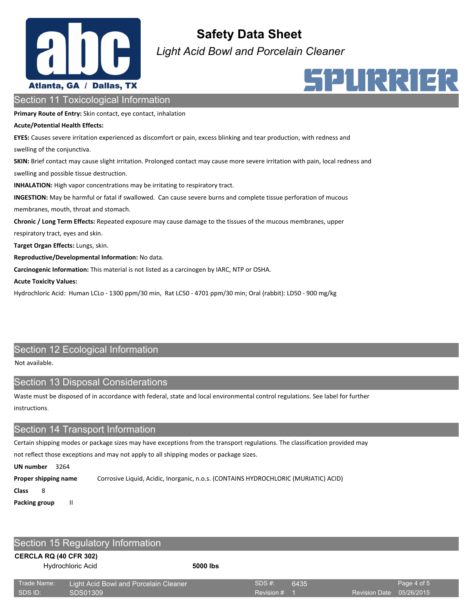

*Light Acid Bowl and Porcelain Cleaner*



## Section 11 Toxicological Information

**Primary Route of Entry:** Skin contact, eye contact, inhalation

#### **Acute/Potential Health Effects:**

**EYES:** Causes severe irritation experienced as discomfort or pain, excess blinking and tear production, with redness and swelling of the conjunctiva. **SKIN:** Brief contact may cause slight irritation. Prolonged contact may cause more severe irritation with pain, local redness and swelling and possible tissue destruction. **INHALATION:** High vapor concentrations may be irritating to respiratory tract. **INGESTION:** May be harmful or fatal if swallowed. Can cause severe burns and complete tissue perforation of mucous membranes, mouth, throat and stomach. **Chronic / Long Term Effects:** Repeated exposure may cause damage to the tissues of the mucous membranes, upper respiratory tract, eyes and skin. **Target Organ Effects:** Lungs, skin. **Reproductive/Developmental Information:** No data. **Carcinogenic Information:** This material is not listed as a carcinogen by IARC, NTP or OSHA.

**Acute Toxicity Values:**

Hydrochloric Acid: Human LCLo - 1300 ppm/30 min, Rat LC50 - 4701 ppm/30 min; Oral (rabbit): LD50 - 900 mg/kg

## Section 12 Ecological Information

Not available.

## Section 13 Disposal Considerations

Waste must be disposed of in accordance with federal, state and local environmental control regulations. See label for further instructions.

## Section 14 Transport Information

Certain shipping modes or package sizes may have exceptions from the transport regulations. The classification provided may

not reflect those exceptions and may not apply to all shipping modes or package sizes.

**UN number** 3264

**Proper shipping name** Corrosive Liquid, Acidic, Inorganic, n.o.s. (CONTAINS HYDROCHLORIC (MURIATIC) ACID)

**Class** 8

**Packing group** II

## Section 15 Regulatory Information

#### **CERCLA RQ (40 CFR 302)**

Hydrochloric Acid **5000 lbs**

| Trade Name: | Light Acid Bowl and Porcelain Cleaner | SDS #:       | 6435 |                          | Page 4 of 5 |
|-------------|---------------------------------------|--------------|------|--------------------------|-------------|
| SDS ID:     | SDS01309                              | Revision # 7 |      | Revision Date 05/26/2015 |             |